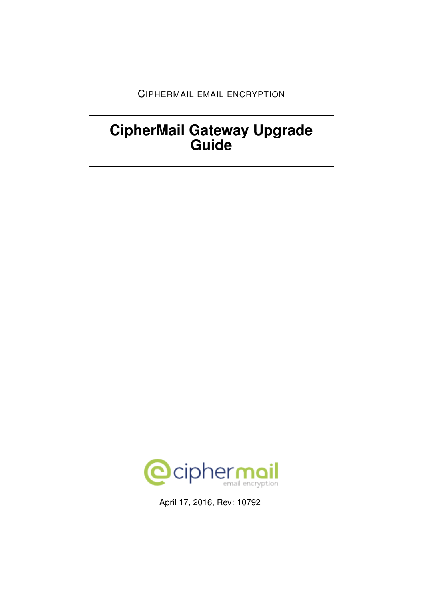CIPHERMAIL EMAIL ENCRYPTION

# **CipherMail Gateway Upgrade Guide**



April 17, 2016, Rev: 10792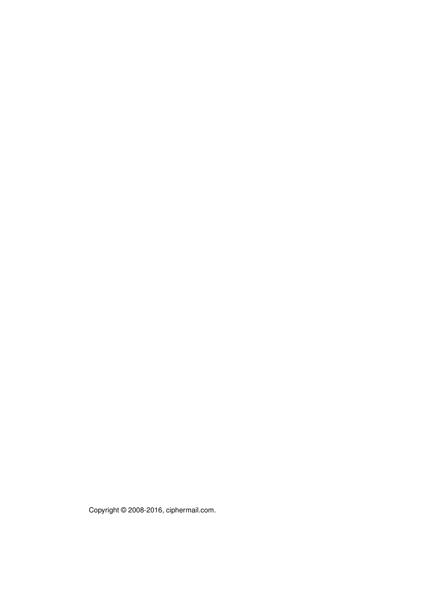Copyright © 2008-2016, ciphermail.com.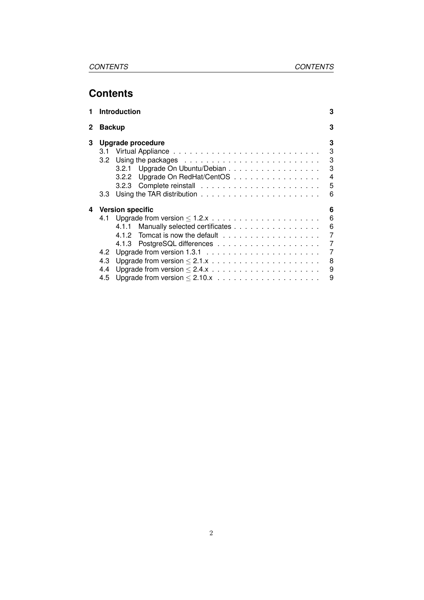## **Contents**

| 1 |                   | <b>Introduction</b>                                                                   | 3                                            |
|---|-------------------|---------------------------------------------------------------------------------------|----------------------------------------------|
| 2 | <b>Backup</b>     |                                                                                       | 3                                            |
| 3 | 3.1<br>3.2<br>3.3 | Upgrade procedure<br>3.2.1 Upgrade On Ubuntu/Debian<br>3.2.2 Upgrade On RedHat/CentOS | 3<br>3<br>3<br>3<br>$\overline{4}$<br>5<br>6 |
| 4 |                   | <b>Version specific</b>                                                               | 6                                            |
|   | 4.1               |                                                                                       | $6\phantom{1}6$                              |
|   |                   | 4.1.1 Manually selected certificates                                                  | $6\overline{6}$                              |
|   |                   |                                                                                       | $\overline{7}$                               |
|   |                   |                                                                                       |                                              |
|   | 4.2               |                                                                                       | $\overline{7}$                               |
|   | 4.3               |                                                                                       | 8                                            |
|   | 4.4               |                                                                                       | 9                                            |
|   | 4.5               |                                                                                       | 9                                            |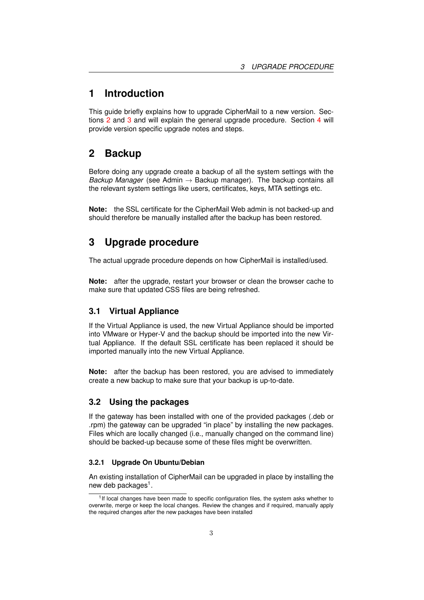## <span id="page-3-0"></span>**1 Introduction**

This guide briefly explains how to upgrade CipherMail to a new version. Sec-tions [2](#page-3-1) and [3](#page-3-2) and will explain the general upgrade procedure. Section [4](#page-6-1) will provide version specific upgrade notes and steps.

## <span id="page-3-1"></span>**2 Backup**

Before doing any upgrade create a backup of all the system settings with the *Backup Manager* (see Admin → Backup manager). The backup contains all the relevant system settings like users, certificates, keys, MTA settings etc.

**Note:** the SSL certificate for the CipherMail Web admin is not backed-up and should therefore be manually installed after the backup has been restored.

## <span id="page-3-2"></span>**3 Upgrade procedure**

The actual upgrade procedure depends on how CipherMail is installed/used.

**Note:** after the upgrade, restart your browser or clean the browser cache to make sure that updated CSS files are being refreshed.

#### <span id="page-3-3"></span>**3.1 Virtual Appliance**

If the Virtual Appliance is used, the new Virtual Appliance should be imported into VMware or Hyper-V and the backup should be imported into the new Virtual Appliance. If the default SSL certificate has been replaced it should be imported manually into the new Virtual Appliance.

**Note:** after the backup has been restored, you are advised to immediately create a new backup to make sure that your backup is up-to-date.

#### <span id="page-3-4"></span>**3.2 Using the packages**

If the gateway has been installed with one of the provided packages (.deb or .rpm) the gateway can be upgraded "in place" by installing the new packages. Files which are locally changed (i.e., manually changed on the command line) should be backed-up because some of these files might be overwritten.

#### <span id="page-3-5"></span>**3.2.1 Upgrade On Ubuntu/Debian**

An existing installation of CipherMail can be upgraded in place by installing the new deb packages<sup>1</sup>.

<sup>&</sup>lt;sup>1</sup>If local changes have been made to specific configuration files, the system asks whether to overwrite, merge or keep the local changes. Review the changes and if required, manually apply the required changes after the new packages have been installed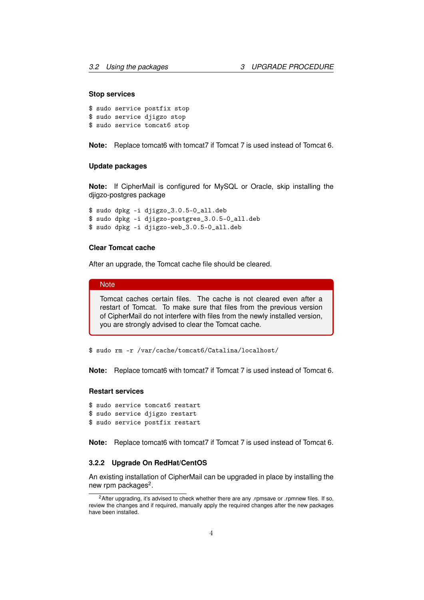#### **Stop services**

```
$ sudo service postfix stop
$ sudo service djigzo stop
$ sudo service tomcat6 stop
```
**Note:** Replace tomcat6 with tomcat7 if Tomcat 7 is used instead of Tomcat 6.

#### **Update packages**

**Note:** If CipherMail is configured for MySQL or Oracle, skip installing the djigzo-postgres package

```
$ sudo dpkg -i djigzo_3.0.5-0_all.deb
$ sudo dpkg -i djigzo-postgres_3.0.5-0_all.deb
$ sudo dpkg -i djigzo-web_3.0.5-0_all.deb
```
#### **Clear Tomcat cache**

After an upgrade, the Tomcat cache file should be cleared.

#### **Note**

Tomcat caches certain files. The cache is not cleared even after a restart of Tomcat. To make sure that files from the previous version of CipherMail do not interfere with files from the newly installed version, you are strongly advised to clear the Tomcat cache.

\$ sudo rm -r /var/cache/tomcat6/Catalina/localhost/

**Note:** Replace tomcat6 with tomcat7 if Tomcat 7 is used instead of Tomcat 6.

#### **Restart services**

```
$ sudo service tomcat6 restart
$ sudo service djigzo restart
$ sudo service postfix restart
```
**Note:** Replace tomcat6 with tomcat7 if Tomcat 7 is used instead of Tomcat 6.

#### <span id="page-4-0"></span>**3.2.2 Upgrade On RedHat/CentOS**

An existing installation of CipherMail can be upgraded in place by installing the new rpm packages<sup>2</sup>.

<sup>&</sup>lt;sup>2</sup>After upgrading, it's advised to check whether there are any .rpmsave or .rpmnew files. If so, review the changes and if required, manually apply the required changes after the new packages have been installed.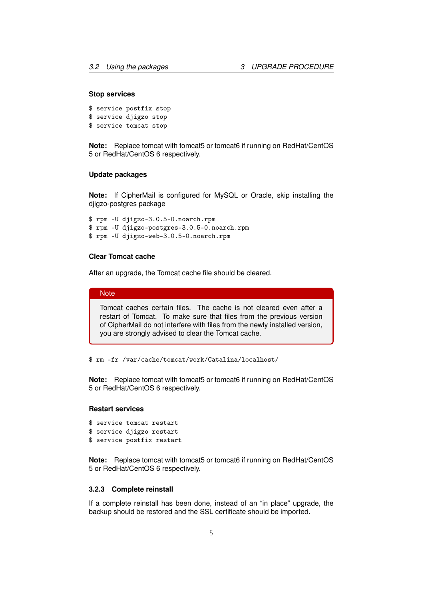#### **Stop services**

```
$ service postfix stop
$ service djigzo stop
$ service tomcat stop
```
**Note:** Replace tomcat with tomcat5 or tomcat6 if running on RedHat/CentOS 5 or RedHat/CentOS 6 respectively.

#### **Update packages**

**Note:** If CipherMail is configured for MySQL or Oracle, skip installing the djigzo-postgres package

\$ rpm -U djigzo-3.0.5-0.noarch.rpm \$ rpm -U djigzo-postgres-3.0.5-0.noarch.rpm \$ rpm -U djigzo-web-3.0.5-0.noarch.rpm

#### **Clear Tomcat cache**

After an upgrade, the Tomcat cache file should be cleared.

#### **Note**

Tomcat caches certain files. The cache is not cleared even after a restart of Tomcat. To make sure that files from the previous version of CipherMail do not interfere with files from the newly installed version, you are strongly advised to clear the Tomcat cache.

\$ rm -fr /var/cache/tomcat/work/Catalina/localhost/

**Note:** Replace tomcat with tomcat5 or tomcat6 if running on RedHat/CentOS 5 or RedHat/CentOS 6 respectively.

#### **Restart services**

\$ service tomcat restart \$ service djigzo restart

\$ service postfix restart

**Note:** Replace tomcat with tomcat5 or tomcat6 if running on RedHat/CentOS 5 or RedHat/CentOS 6 respectively.

#### <span id="page-5-0"></span>**3.2.3 Complete reinstall**

If a complete reinstall has been done, instead of an "in place" upgrade, the backup should be restored and the SSL certificate should be imported.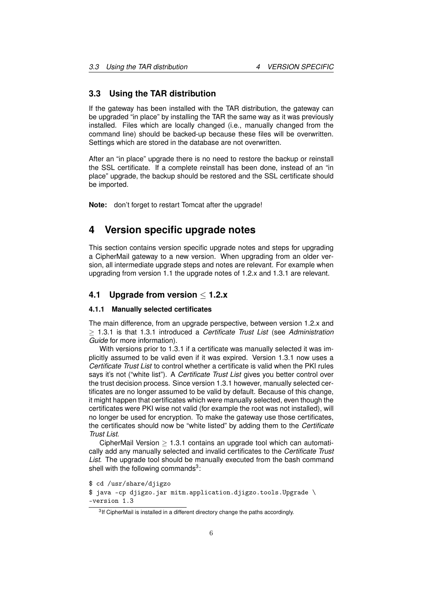#### <span id="page-6-0"></span>**3.3 Using the TAR distribution**

If the gateway has been installed with the TAR distribution, the gateway can be upgraded "in place" by installing the TAR the same way as it was previously installed. Files which are locally changed (i.e., manually changed from the command line) should be backed-up because these files will be overwritten. Settings which are stored in the database are not overwritten.

After an "in place" upgrade there is no need to restore the backup or reinstall the SSL certificate. If a complete reinstall has been done, instead of an "in place" upgrade, the backup should be restored and the SSL certificate should be imported.

**Note:** don't forget to restart Tomcat after the upgrade!

### <span id="page-6-1"></span>**4 Version specific upgrade notes**

This section contains version specific upgrade notes and steps for upgrading a CipherMail gateway to a new version. When upgrading from an older version, all intermediate upgrade steps and notes are relevant. For example when upgrading from version 1.1 the upgrade notes of 1.2.x and 1.3.1 are relevant.

#### <span id="page-6-2"></span>**4.1 Upgrade from version** ≤ **1.2.x**

#### <span id="page-6-3"></span>**4.1.1 Manually selected certificates**

The main difference, from an upgrade perspective, between version 1.2.x and ≥ 1.3.1 is that 1.3.1 introduced a *Certificate Trust List* (see *Administration Guide* for more information).

With versions prior to 1.3.1 if a certificate was manually selected it was implicitly assumed to be valid even if it was expired. Version 1.3.1 now uses a *Certificate Trust List* to control whether a certificate is valid when the PKI rules says it's not ("white list"). A *Certificate Trust List* gives you better control over the trust decision process. Since version 1.3.1 however, manually selected certificates are no longer assumed to be valid by default. Because of this change, it might happen that certificates which were manually selected, even though the certificates were PKI wise not valid (for example the root was not installed), will no longer be used for encryption. To make the gateway use those certificates, the certificates should now be "white listed" by adding them to the *Certificate Trust List*.

CipherMail Version  $> 1.3.1$  contains an upgrade tool which can automatically add any manually selected and invalid certificates to the *Certificate Trust List*. The upgrade tool should be manually executed from the bash command shell with the following commands $3$ :

<sup>\$</sup> cd /usr/share/djigzo

<sup>\$</sup> java -cp djigzo.jar mitm.application.djigzo.tools.Upgrade \ -version 1.3

 $3$ If CipherMail is installed in a different directory change the paths accordingly.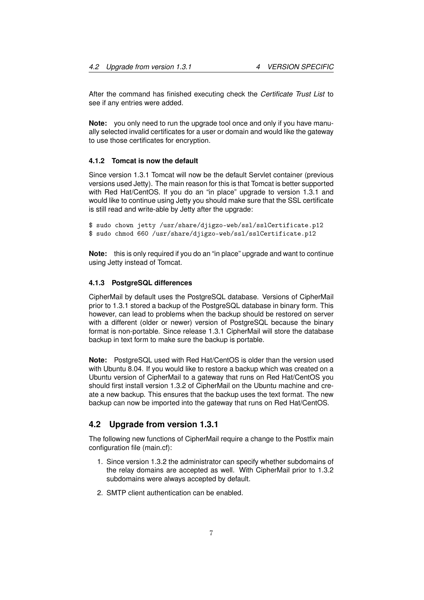After the command has finished executing check the *Certificate Trust List* to see if any entries were added.

**Note:** you only need to run the upgrade tool once and only if you have manually selected invalid certificates for a user or domain and would like the gateway to use those certificates for encryption.

#### <span id="page-7-0"></span>**4.1.2 Tomcat is now the default**

Since version 1.3.1 Tomcat will now be the default Servlet container (previous versions used Jetty). The main reason for this is that Tomcat is better supported with Red Hat/CentOS. If you do an "in place" upgrade to version 1.3.1 and would like to continue using Jetty you should make sure that the SSL certificate is still read and write-able by Jetty after the upgrade:

```
$ sudo chown jetty /usr/share/djigzo-web/ssl/sslCertificate.p12
$ sudo chmod 660 /usr/share/djigzo-web/ssl/sslCertificate.p12
```
**Note:** this is only required if you do an "in place" upgrade and want to continue using Jetty instead of Tomcat.

#### <span id="page-7-1"></span>**4.1.3 PostgreSQL differences**

CipherMail by default uses the PostgreSQL database. Versions of CipherMail prior to 1.3.1 stored a backup of the PostgreSQL database in binary form. This however, can lead to problems when the backup should be restored on server with a different (older or newer) version of PostgreSQL because the binary format is non-portable. Since release 1.3.1 CipherMail will store the database backup in text form to make sure the backup is portable.

**Note:** PostgreSQL used with Red Hat/CentOS is older than the version used with Ubuntu 8.04. If you would like to restore a backup which was created on a Ubuntu version of CipherMail to a gateway that runs on Red Hat/CentOS you should first install version 1.3.2 of CipherMail on the Ubuntu machine and create a new backup. This ensures that the backup uses the text format. The new backup can now be imported into the gateway that runs on Red Hat/CentOS.

#### <span id="page-7-2"></span>**4.2 Upgrade from version 1.3.1**

The following new functions of CipherMail require a change to the Postfix main configuration file (main.cf):

- 1. Since version 1.3.2 the administrator can specify whether subdomains of the relay domains are accepted as well. With CipherMail prior to 1.3.2 subdomains were always accepted by default.
- 2. SMTP client authentication can be enabled.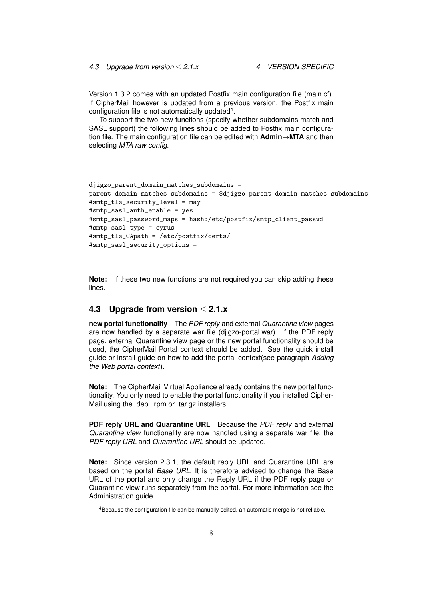Version 1.3.2 comes with an updated Postfix main configuration file (main.cf). If CipherMail however is updated from a previous version, the Postfix main configuration file is not automatically updated $4$ .

To support the two new functions (specify whether subdomains match and SASL support) the following lines should be added to Postfix main configuration file. The main configuration file can be edited with **Admin**→**MTA** and then selecting *MTA raw config*.

```
djigzo_parent_domain_matches_subdomains =
parent_domain_matches_subdomains = $djigzo_parent_domain_matches_subdomains
#smtp tls security level = may
#smtp_sasl_auth_enable = yes
#smtp_sasl_password_maps = hash:/etc/postfix/smtp_client_passwd
#smtp_sasl_type = cyrus
#smtp_tls_CApath = /etc/postfix/certs/
#smtp_sasl_security_options =
```
**Note:** If these two new functions are not required you can skip adding these lines.

#### <span id="page-8-0"></span>**4.3 Upgrade from version** ≤ **2.1.x**

**new portal functionality** The *PDF reply* and external *Quarantine view* pages are now handled by a separate war file (djigzo-portal.war). If the PDF reply page, external Quarantine view page or the new portal functionality should be used, the CipherMail Portal context should be added. See the quick install guide or install guide on how to add the portal context(see paragraph *Adding the Web portal context*).

**Note:** The CipherMail Virtual Appliance already contains the new portal functionality. You only need to enable the portal functionality if you installed Cipher-Mail using the .deb, .rpm or .tar.gz installers.

**PDF reply URL and Quarantine URL** Because the *PDF reply* and external *Quarantine view* functionality are now handled using a separate war file, the *PDF reply URL* and *Quarantine URL* should be updated.

**Note:** Since version 2.3.1, the default reply URL and Quarantine URL are based on the portal *Base URL*. It is therefore advised to change the Base URL of the portal and only change the Reply URL if the PDF reply page or Quarantine view runs separately from the portal. For more information see the Administration guide.

<sup>&</sup>lt;sup>4</sup>Because the configuration file can be manually edited, an automatic merge is not reliable.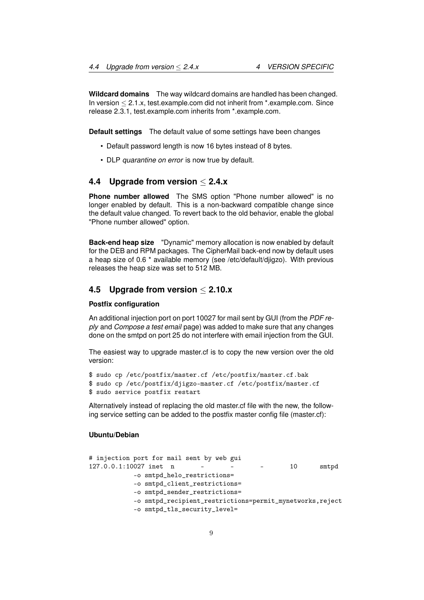**Wildcard domains** The way wildcard domains are handled has been changed. In version  $\leq 2.1.x$ , test.example.com did not inherit from \*.example.com. Since release 2.3.1, test.example.com inherits from \*.example.com.

**Default settings** The default value of some settings have been changes

- Default password length is now 16 bytes instead of 8 bytes.
- DLP *quarantine on error* is now true by default.

#### <span id="page-9-0"></span>**4.4 Upgrade from version** ≤ **2.4.x**

**Phone number allowed** The SMS option "Phone number allowed" is no longer enabled by default. This is a non-backward compatible change since the default value changed. To revert back to the old behavior, enable the global "Phone number allowed" option.

**Back-end heap size** "Dynamic" memory allocation is now enabled by default for the DEB and RPM packages. The CipherMail back-end now by default uses a heap size of 0.6 \* available memory (see /etc/default/djigzo). With previous releases the heap size was set to 512 MB.

#### <span id="page-9-1"></span>**4.5 Upgrade from version** ≤ **2.10.x**

#### **Postfix configuration**

An additional injection port on port 10027 for mail sent by GUI (from the *PDF reply* and *Compose a test email* page) was added to make sure that any changes done on the smtpd on port 25 do not interfere with email injection from the GUI.

The easiest way to upgrade master.cf is to copy the new version over the old version:

\$ sudo cp /etc/postfix/master.cf /etc/postfix/master.cf.bak

\$ sudo cp /etc/postfix/djigzo-master.cf /etc/postfix/master.cf

\$ sudo service postfix restart

Alternatively instead of replacing the old master.cf file with the new, the following service setting can be added to the postfix master config file (master.cf):

#### **Ubuntu/Debian**

```
# injection port for mail sent by web gui
127.0.0.1:10027 inet n - - - 10 smtpd
          -o smtpd_helo_restrictions=
          -o smtpd_client_restrictions=
          -o smtpd_sender_restrictions=
          -o smtpd_recipient_restrictions=permit_mynetworks,reject
          -o smtpd_tls_security_level=
```